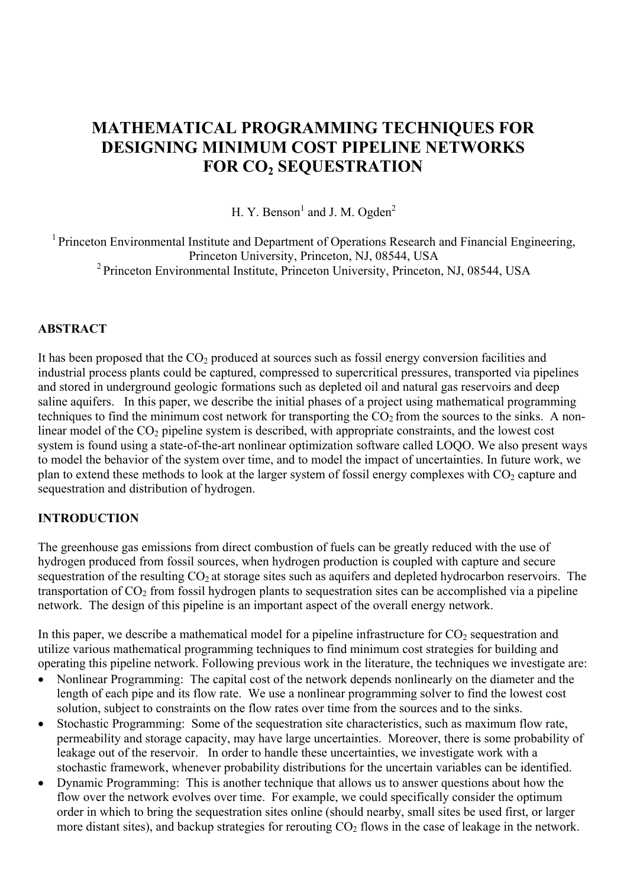# **MATHEMATICAL PROGRAMMING TECHNIQUES FOR DESIGNING MINIMUM COST PIPELINE NETWORKS FOR CO2 SEQUESTRATION**

H. Y. Benson<sup>1</sup> and J. M. Ogden<sup>2</sup>

<sup>1</sup> Princeton Environmental Institute and Department of Operations Research and Financial Engineering, Princeton University, Princeton, NJ, 08544, USA 2 Princeton Environmental Institute, Princeton University, Princeton, NJ, 08544, USA

# **ABSTRACT**

It has been proposed that the  $CO<sub>2</sub>$  produced at sources such as fossil energy conversion facilities and industrial process plants could be captured, compressed to supercritical pressures, transported via pipelines and stored in underground geologic formations such as depleted oil and natural gas reservoirs and deep saline aquifers. In this paper, we describe the initial phases of a project using mathematical programming techniques to find the minimum cost network for transporting the  $CO<sub>2</sub>$  from the sources to the sinks. A nonlinear model of the  $CO<sub>2</sub>$  pipeline system is described, with appropriate constraints, and the lowest cost system is found using a state-of-the-art nonlinear optimization software called LOQO. We also present ways to model the behavior of the system over time, and to model the impact of uncertainties. In future work, we plan to extend these methods to look at the larger system of fossil energy complexes with  $CO<sub>2</sub>$  capture and sequestration and distribution of hydrogen.

### **INTRODUCTION**

The greenhouse gas emissions from direct combustion of fuels can be greatly reduced with the use of hydrogen produced from fossil sources, when hydrogen production is coupled with capture and secure sequestration of the resulting  $CO<sub>2</sub>$  at storage sites such as aquifers and depleted hydrocarbon reservoirs. The transportation of  $CO<sub>2</sub>$  from fossil hydrogen plants to sequestration sites can be accomplished via a pipeline network. The design of this pipeline is an important aspect of the overall energy network.

In this paper, we describe a mathematical model for a pipeline infrastructure for  $CO<sub>2</sub>$  sequestration and utilize various mathematical programming techniques to find minimum cost strategies for building and operating this pipeline network. Following previous work in the literature, the techniques we investigate are:

- Nonlinear Programming: The capital cost of the network depends nonlinearly on the diameter and the length of each pipe and its flow rate. We use a nonlinear programming solver to find the lowest cost solution, subject to constraints on the flow rates over time from the sources and to the sinks.
- Stochastic Programming: Some of the sequestration site characteristics, such as maximum flow rate, permeability and storage capacity, may have large uncertainties. Moreover, there is some probability of leakage out of the reservoir. In order to handle these uncertainties, we investigate work with a stochastic framework, whenever probability distributions for the uncertain variables can be identified.
- Dynamic Programming: This is another technique that allows us to answer questions about how the flow over the network evolves over time. For example, we could specifically consider the optimum order in which to bring the sequestration sites online (should nearby, small sites be used first, or larger more distant sites), and backup strategies for rerouting  $CO<sub>2</sub>$  flows in the case of leakage in the network.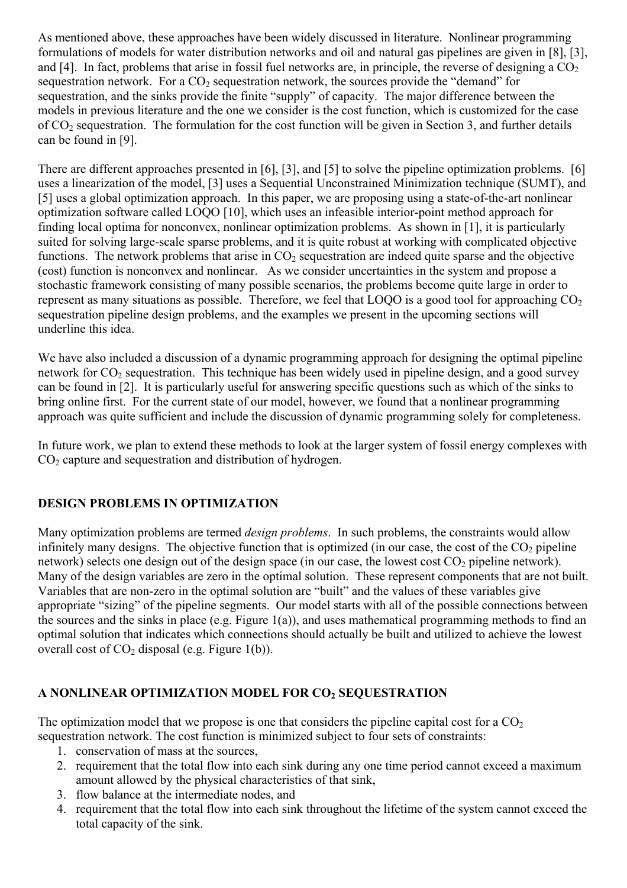As mentioned above, these approaches have been widely discussed in literature. Nonlinear programming formulations of models for water distribution networks and oil and natural gas pipelines are given in [8], [3], and [4]. In fact, problems that arise in fossil fuel networks are, in principle, the reverse of designing a  $CO<sub>2</sub>$ sequestration network. For a  $CO<sub>2</sub>$  sequestration network, the sources provide the "demand" for sequestration, and the sinks provide the finite "supply" of capacity. The major difference between the models in previous literature and the one we consider is the cost function, which is customized for the case of CO2 sequestration. The formulation for the cost function will be given in Section 3, and further details can be found in [9].

There are different approaches presented in [6], [3], and [5] to solve the pipeline optimization problems. [6] uses a linearization of the model, [3] uses a Sequential Unconstrained Minimization technique (SUMT), and [5] uses a global optimization approach. In this paper, we are proposing using a state-of-the-art nonlinear optimization software called LOQO [10], which uses an infeasible interior-point method approach for finding local optima for nonconvex, nonlinear optimization problems. As shown in [1], it is particularly suited for solving large-scale sparse problems, and it is quite robust at working with complicated objective functions. The network problems that arise in  $CO<sub>2</sub>$  sequestration are indeed quite sparse and the objective (cost) function is nonconvex and nonlinear. As we consider uncertainties in the system and propose a stochastic framework consisting of many possible scenarios, the problems become quite large in order to represent as many situations as possible. Therefore, we feel that LOQO is a good tool for approaching  $CO<sub>2</sub>$ sequestration pipeline design problems, and the examples we present in the upcoming sections will underline this idea.

We have also included a discussion of a dynamic programming approach for designing the optimal pipeline network for  $CO<sub>2</sub>$  sequestration. This technique has been widely used in pipeline design, and a good survey can be found in [2]. It is particularly useful for answering specific questions such as which of the sinks to bring online first. For the current state of our model, however, we found that a nonlinear programming approach was quite sufficient and include the discussion of dynamic programming solely for completeness.

In future work, we plan to extend these methods to look at the larger system of fossil energy complexes with  $CO<sub>2</sub>$  capture and sequestration and distribution of hydrogen.

# **DESIGN PROBLEMS IN OPTIMIZATION**

Many optimization problems are termed *design problems*. In such problems, the constraints would allow infinitely many designs. The objective function that is optimized (in our case, the cost of the  $CO<sub>2</sub>$  pipeline network) selects one design out of the design space (in our case, the lowest cost  $CO<sub>2</sub>$  pipeline network). Many of the design variables are zero in the optimal solution. These represent components that are not built. Variables that are non-zero in the optimal solution are "built" and the values of these variables give appropriate "sizing" of the pipeline segments. Our model starts with all of the possible connections between the sources and the sinks in place (e.g. Figure 1(a)), and uses mathematical programming methods to find an optimal solution that indicates which connections should actually be built and utilized to achieve the lowest overall cost of  $CO<sub>2</sub>$  disposal (e.g. Figure 1(b)).

# A NONLINEAR OPTIMIZATION MODEL FOR CO<sub>2</sub> SEQUESTRATION

The optimization model that we propose is one that considers the pipeline capital cost for a  $CO<sub>2</sub>$ sequestration network. The cost function is minimized subject to four sets of constraints:

- 1. conservation of mass at the sources,
- 2. requirement that the total flow into each sink during any one time period cannot exceed a maximum amount allowed by the physical characteristics of that sink,
- 3. flow balance at the intermediate nodes, and
- 4. requirement that the total flow into each sink throughout the lifetime of the system cannot exceed the total capacity of the sink.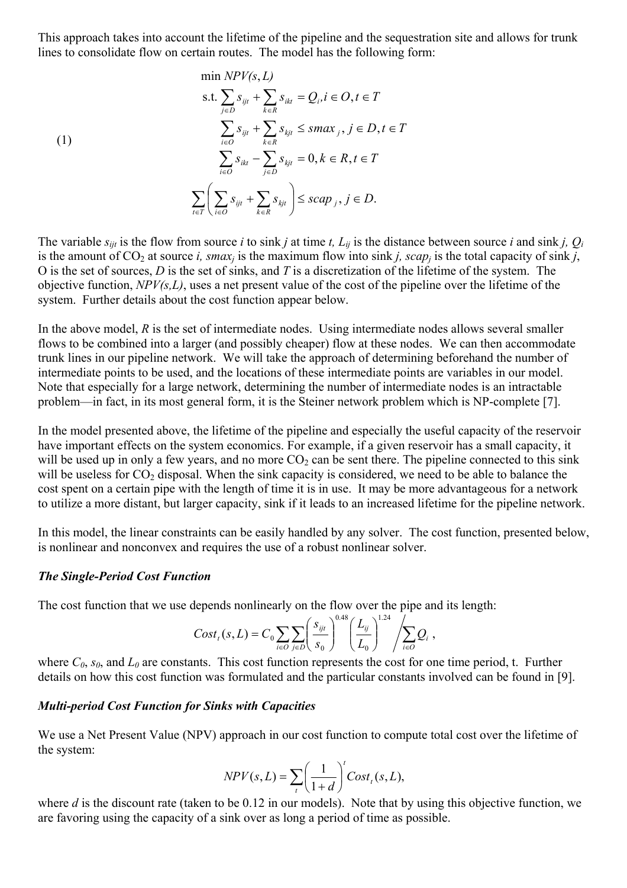This approach takes into account the lifetime of the pipeline and the sequestration site and allows for trunk lines to consolidate flow on certain routes. The model has the following form:

$$
\min NPV(s, L)
$$
\n
$$
\text{s.t.} \sum_{j \in D} s_{ijt} + \sum_{k \in R} s_{ikt} = Q_i, i \in O, t \in T
$$
\n
$$
\sum_{i \in O} s_{ijt} + \sum_{k \in R} s_{kjt} \le \text{smax}_j, j \in D, t \in T
$$
\n
$$
\sum_{i \in O} s_{ikt} - \sum_{j \in D} s_{kjt} = 0, k \in R, t \in T
$$
\n
$$
\sum_{t \in T} \left( \sum_{i \in O} s_{ijt} + \sum_{k \in R} s_{kjt} \right) \le \text{scap}_j, j \in D.
$$

The variable  $s_{ijt}$  is the flow from source *i* to sink *j* at time *t*,  $L_{ij}$  is the distance between source *i* and sink *j*,  $Q_i$ is the amount of  $CO_2$  at source *i, smax<sub>i</sub>* is the maximum flow into sink *j, scap<sub>i</sub>* is the total capacity of sink *j*, O is the set of sources, *D* is the set of sinks, and *T* is a discretization of the lifetime of the system. The objective function, *NPV(s,L)*, uses a net present value of the cost of the pipeline over the lifetime of the system. Further details about the cost function appear below.

In the above model, *R* is the set of intermediate nodes. Using intermediate nodes allows several smaller flows to be combined into a larger (and possibly cheaper) flow at these nodes. We can then accommodate trunk lines in our pipeline network. We will take the approach of determining beforehand the number of intermediate points to be used, and the locations of these intermediate points are variables in our model. Note that especially for a large network, determining the number of intermediate nodes is an intractable problem—in fact, in its most general form, it is the Steiner network problem which is NP-complete [7].

In the model presented above, the lifetime of the pipeline and especially the useful capacity of the reservoir have important effects on the system economics. For example, if a given reservoir has a small capacity, it will be used up in only a few years, and no more  $CO<sub>2</sub>$  can be sent there. The pipeline connected to this sink will be useless for  $CO_2$  disposal. When the sink capacity is considered, we need to be able to balance the cost spent on a certain pipe with the length of time it is in use. It may be more advantageous for a network to utilize a more distant, but larger capacity, sink if it leads to an increased lifetime for the pipeline network.

In this model, the linear constraints can be easily handled by any solver. The cost function, presented below, is nonlinear and nonconvex and requires the use of a robust nonlinear solver.

#### *The Single-Period Cost Function*

The cost function that we use depends nonlinearly on the flow over the pipe and its length:

$$
Cost_t(s, L) = C_0 \sum_{i \in O} \sum_{j \in D} \left( \frac{s_{ijt}}{s_0} \right)^{0.48} \left( \frac{L_{ij}}{L_0} \right)^{1.24} / \sum_{i \in O} Q_i ,
$$

where  $C_0$ ,  $s_0$ , and  $L_0$  are constants. This cost function represents the cost for one time period, t. Further details on how this cost function was formulated and the particular constants involved can be found in [9].

#### *Multi-period Cost Function for Sinks with Capacities*

We use a Net Present Value (NPV) approach in our cost function to compute total cost over the lifetime of the system:

$$
NPV(s, L) = \sum_{t} \left(\frac{1}{1+d}\right)^{t} Cost_{t}(s, L),
$$

where *d* is the discount rate (taken to be 0.12 in our models). Note that by using this objective function, we are favoring using the capacity of a sink over as long a period of time as possible.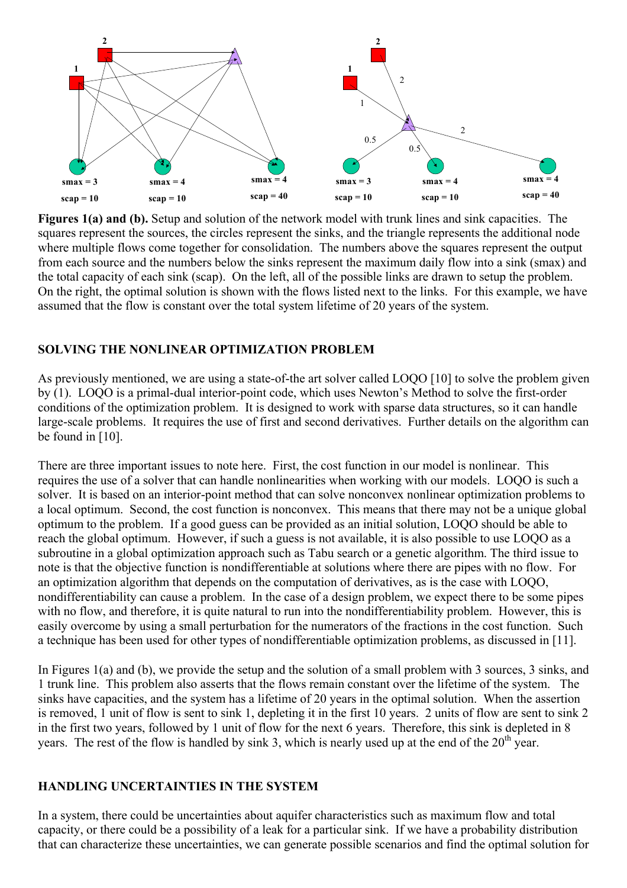

**Figures 1(a) and (b).** Setup and solution of the network model with trunk lines and sink capacities. The squares represent the sources, the circles represent the sinks, and the triangle represents the additional node where multiple flows come together for consolidation. The numbers above the squares represent the output from each source and the numbers below the sinks represent the maximum daily flow into a sink (smax) and the total capacity of each sink (scap). On the left, all of the possible links are drawn to setup the problem. On the right, the optimal solution is shown with the flows listed next to the links. For this example, we have assumed that the flow is constant over the total system lifetime of 20 years of the system.

## **SOLVING THE NONLINEAR OPTIMIZATION PROBLEM**

As previously mentioned, we are using a state-of-the art solver called LOQO [10] to solve the problem given by (1). LOQO is a primal-dual interior-point code, which uses Newton's Method to solve the first-order conditions of the optimization problem. It is designed to work with sparse data structures, so it can handle large-scale problems. It requires the use of first and second derivatives. Further details on the algorithm can be found in [10].

There are three important issues to note here. First, the cost function in our model is nonlinear. This requires the use of a solver that can handle nonlinearities when working with our models. LOQO is such a solver. It is based on an interior-point method that can solve nonconvex nonlinear optimization problems to a local optimum. Second, the cost function is nonconvex. This means that there may not be a unique global optimum to the problem. If a good guess can be provided as an initial solution, LOQO should be able to reach the global optimum. However, if such a guess is not available, it is also possible to use LOQO as a subroutine in a global optimization approach such as Tabu search or a genetic algorithm. The third issue to note is that the objective function is nondifferentiable at solutions where there are pipes with no flow. For an optimization algorithm that depends on the computation of derivatives, as is the case with LOQO, nondifferentiability can cause a problem. In the case of a design problem, we expect there to be some pipes with no flow, and therefore, it is quite natural to run into the nondifferentiability problem. However, this is easily overcome by using a small perturbation for the numerators of the fractions in the cost function. Such a technique has been used for other types of nondifferentiable optimization problems, as discussed in [11].

In Figures 1(a) and (b), we provide the setup and the solution of a small problem with 3 sources, 3 sinks, and 1 trunk line. This problem also asserts that the flows remain constant over the lifetime of the system. The sinks have capacities, and the system has a lifetime of 20 years in the optimal solution. When the assertion is removed, 1 unit of flow is sent to sink 1, depleting it in the first 10 years. 2 units of flow are sent to sink 2 in the first two years, followed by 1 unit of flow for the next 6 years. Therefore, this sink is depleted in 8 years. The rest of the flow is handled by sink 3, which is nearly used up at the end of the  $20<sup>th</sup>$  year.

# **HANDLING UNCERTAINTIES IN THE SYSTEM**

In a system, there could be uncertainties about aquifer characteristics such as maximum flow and total capacity, or there could be a possibility of a leak for a particular sink. If we have a probability distribution that can characterize these uncertainties, we can generate possible scenarios and find the optimal solution for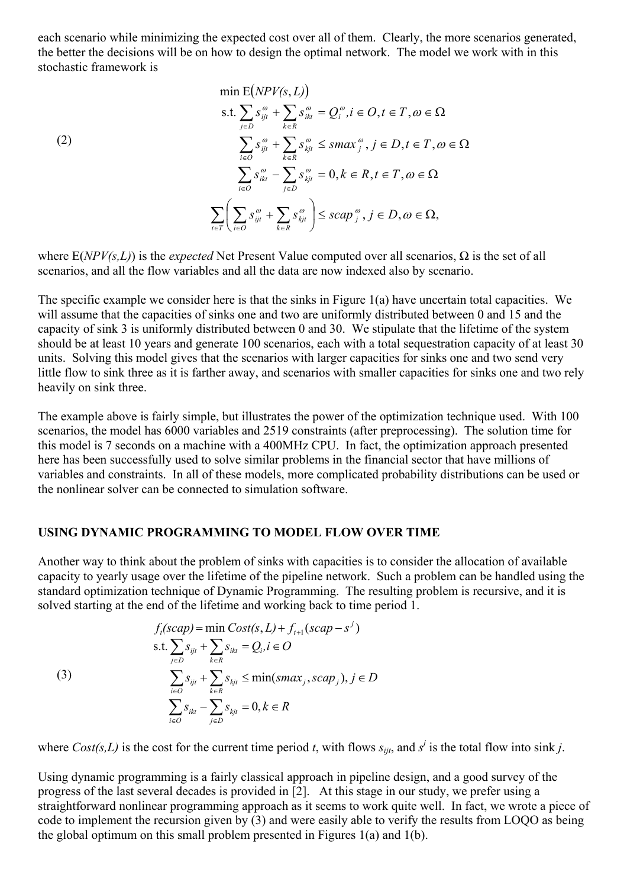each scenario while minimizing the expected cost over all of them. Clearly, the more scenarios generated, the better the decisions will be on how to design the optimal network. The model we work with in this stochastic framework is

$$
\min \mathsf{E}\left(\mathsf{NPV}(s,L)\right) \n\text{s.t.} \sum_{j \in D} s_{ijt}^{\omega} + \sum_{k \in R} s_{ikt}^{\omega} = Q_i^{\omega}, i \in O, t \in T, \omega \in \Omega \n\sum_{i \in O} s_{ijt}^{\omega} + \sum_{k \in R} s_{kjt}^{\omega} \le \operatorname{smax}_{j}^{\omega}, j \in D, t \in T, \omega \in \Omega \n\sum_{i \in O} s_{ikt}^{\omega} - \sum_{j \in D} s_{kjt}^{\omega} = 0, k \in R, t \in T, \omega \in \Omega \n\sum_{t \in T} \left( \sum_{i \in O} s_{ijt}^{\omega} + \sum_{k \in R} s_{kjt}^{\omega} \right) \le \operatorname{scap}_{j}^{\omega}, j \in D, \omega \in \Omega,
$$

where  $E(NPV(s,L))$  is the *expected* Net Present Value computed over all scenarios,  $\Omega$  is the set of all scenarios, and all the flow variables and all the data are now indexed also by scenario.

The specific example we consider here is that the sinks in Figure 1(a) have uncertain total capacities. We will assume that the capacities of sinks one and two are uniformly distributed between 0 and 15 and the capacity of sink 3 is uniformly distributed between 0 and 30. We stipulate that the lifetime of the system should be at least 10 years and generate 100 scenarios, each with a total sequestration capacity of at least 30 units. Solving this model gives that the scenarios with larger capacities for sinks one and two send very little flow to sink three as it is farther away, and scenarios with smaller capacities for sinks one and two rely heavily on sink three.

The example above is fairly simple, but illustrates the power of the optimization technique used. With 100 scenarios, the model has 6000 variables and 2519 constraints (after preprocessing). The solution time for this model is 7 seconds on a machine with a 400MHz CPU. In fact, the optimization approach presented here has been successfully used to solve similar problems in the financial sector that have millions of variables and constraints. In all of these models, more complicated probability distributions can be used or the nonlinear solver can be connected to simulation software.

#### **USING DYNAMIC PROGRAMMING TO MODEL FLOW OVER TIME**

Another way to think about the problem of sinks with capacities is to consider the allocation of available capacity to yearly usage over the lifetime of the pipeline network. Such a problem can be handled using the standard optimization technique of Dynamic Programming. The resulting problem is recursive, and it is solved starting at the end of the lifetime and working back to time period 1.

*j*

(3)  
\n
$$
f_t(scap) = \min \text{Cost}(s, L) + f_{t+1}(scap - s^{j})
$$
\n
$$
s.t. \sum_{j \in D} s_{ijt} + \sum_{k \in R} s_{ikt} = Q_i, i \in O
$$
\n
$$
\sum_{i \in O} s_{ijt} + \sum_{k \in R} s_{kjt} \le \min(smax_j, scap_j), j \in D
$$
\n
$$
\sum_{i \in O} s_{ikt} - \sum_{j \in D} s_{kjt} = 0, k \in R
$$

where  $Cost(s, L)$  is the cost for the current time period *t*, with flows  $s_{ijt}$ , and  $s^j$  is the total flow into sink *j*.

Using dynamic programming is a fairly classical approach in pipeline design, and a good survey of the progress of the last several decades is provided in [2]. At this stage in our study, we prefer using a straightforward nonlinear programming approach as it seems to work quite well. In fact, we wrote a piece of code to implement the recursion given by (3) and were easily able to verify the results from LOQO as being the global optimum on this small problem presented in Figures 1(a) and 1(b).